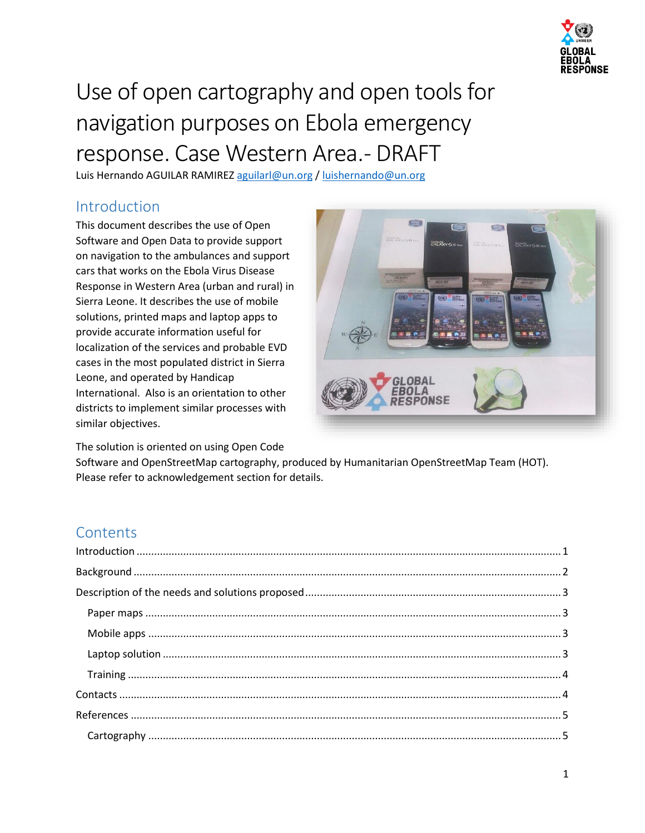

# Use of open cartography and open tools for navigation purposes on Ebola emergency response. Case Western Area. - DRAFT

Luis Hernando AGUILAR RAMIREZ [aguilarl@un.org](mailto:aguilarl@un.org) / [luishernando@un.org](mailto:luishernando@un.org)

## <span id="page-0-0"></span>Introduction

This document describes the use of Open Software and Open Data to provide support on navigation to the ambulances and support cars that works on the Ebola Virus Disease Response in Western Area (urban and rural) in Sierra Leone. It describes the use of mobile solutions, printed maps and laptop apps to provide accurate information useful for localization of the services and probable EVD cases in the most populated district in Sierra Leone, and operated by Handicap International. Also is an orientation to other districts to implement similar processes with similar objectives.

The solution is oriented on using Open Code



Software and OpenStreetMap cartography, produced by Humanitarian OpenStreetMap Team (HOT). Please refer to acknowledgement section for details.

## **Contents**

| $\label{lem:1} \mbox{Introduction} \,\, \ldots \,\, \ldots \,\, \ldots \,\, \ldots \,\, \ldots \,\, \ldots \,\, \ldots \,\, \ldots \,\, \ldots \,\, \ldots \,\, \ldots \,\, \ldots \,\, \ldots \,\, \ldots \,\, \ldots \,\, \ldots \,\, \ldots \,\, \ldots \,\, \ldots \,\, \ldots \,\, \ldots \,\, \ldots \,\, \ldots \,\, \ldots \,\, \ldots \,\, \ldots \,\, \ldots \,\, \ldots \,\, \ldots \,\, \ldots \,\, \ldots \,\, \ldots \,\, \ldots \,\, \ldots \,\,$ |  |
|------------------------------------------------------------------------------------------------------------------------------------------------------------------------------------------------------------------------------------------------------------------------------------------------------------------------------------------------------------------------------------------------------------------------------------------------------------------|--|
|                                                                                                                                                                                                                                                                                                                                                                                                                                                                  |  |
|                                                                                                                                                                                                                                                                                                                                                                                                                                                                  |  |
|                                                                                                                                                                                                                                                                                                                                                                                                                                                                  |  |
|                                                                                                                                                                                                                                                                                                                                                                                                                                                                  |  |
|                                                                                                                                                                                                                                                                                                                                                                                                                                                                  |  |
|                                                                                                                                                                                                                                                                                                                                                                                                                                                                  |  |
|                                                                                                                                                                                                                                                                                                                                                                                                                                                                  |  |
|                                                                                                                                                                                                                                                                                                                                                                                                                                                                  |  |
|                                                                                                                                                                                                                                                                                                                                                                                                                                                                  |  |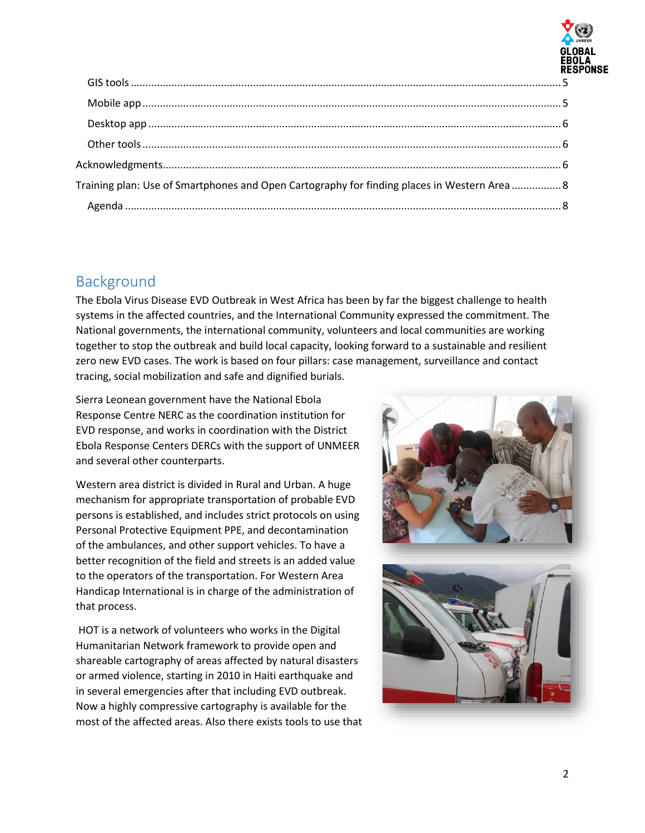

| Training plan: Use of Smartphones and Open Cartography for finding places in Western Area 8 |
|---------------------------------------------------------------------------------------------|
|                                                                                             |
|                                                                                             |

## <span id="page-1-0"></span>Background

The Ebola Virus Disease EVD Outbreak in West Africa has been by far the biggest challenge to health systems in the affected countries, and the International Community expressed the commitment. The National governments, the international community, volunteers and local communities are working together to stop the outbreak and build local capacity, looking forward to a sustainable and resilient zero new EVD cases. The work is based on four pillars: case management, surveillance and contact tracing, social mobilization and safe and dignified burials.

Sierra Leonean government have the National Ebola Response Centre NERC as the coordination institution for EVD response, and works in coordination with the District Ebola Response Centers DERCs with the support of UNMEER and several other counterparts.

Western area district is divided in Rural and Urban. A huge mechanism for appropriate transportation of probable EVD persons is established, and includes strict protocols on using Personal Protective Equipment PPE, and decontamination of the ambulances, and other support vehicles. To have a better recognition of the field and streets is an added value to the operators of the transportation. For Western Area Handicap International is in charge of the administration of that process.

HOT is a network of volunteers who works in the Digital Humanitarian Network framework to provide open and shareable cartography of areas affected by natural disasters or armed violence, starting in 2010 in Haiti earthquake and in several emergencies after that including EVD outbreak. Now a highly compressive cartography is available for the most of the affected areas. Also there exists tools to use that

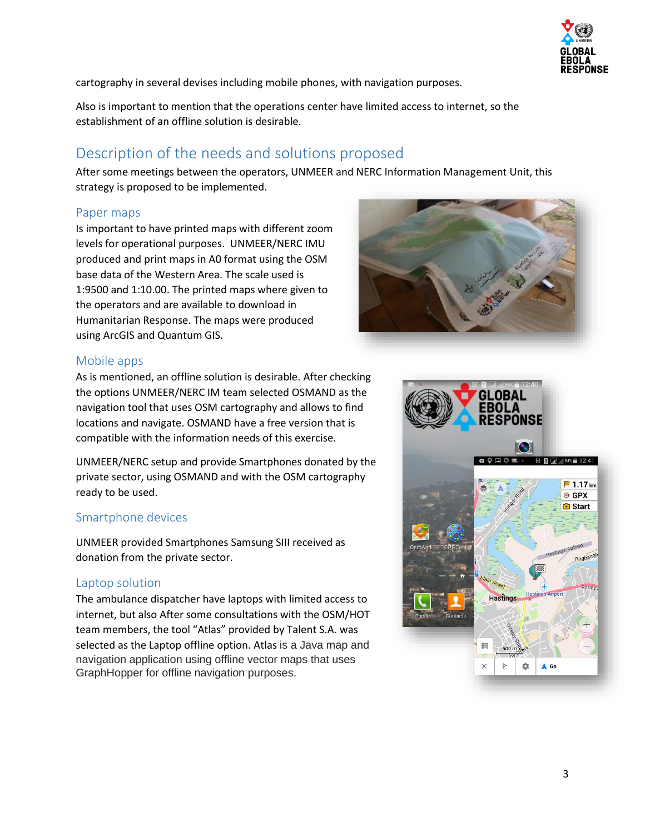

cartography in several devises including mobile phones, with navigation purposes.

Also is important to mention that the operations center have limited access to internet, so the establishment of an offline solution is desirable.

## <span id="page-2-0"></span>Description of the needs and solutions proposed

After some meetings between the operators, UNMEER and NERC Information Management Unit, this strategy is proposed to be implemented.

#### <span id="page-2-1"></span>Paper maps

Is important to have printed maps with different zoom levels for operational purposes. UNMEER/NERC IMU produced and print maps in A0 format using the OSM base data of the Western Area. The scale used is 1:9500 and 1:10.00. The printed maps where given to the operators and are available to download in Humanitarian Response. The maps were produced using ArcGIS and Quantum GIS.



#### <span id="page-2-2"></span>Mobile apps

As is mentioned, an offline solution is desirable. After checking the options UNMEER/NERC IM team selected OSMAND as the navigation tool that uses OSM cartography and allows to find locations and navigate. OSMAND have a free version that is compatible with the information needs of this exercise.

UNMEER/NERC setup and provide Smartphones donated by the private sector, using OSMAND and with the OSM cartography ready to be used.

#### Smartphone devices

UNMEER provided Smartphones Samsung SIII received as donation from the private sector.

#### <span id="page-2-3"></span>Laptop solution

The ambulance dispatcher have laptops with limited access to internet, but also After some consultations with the OSM/HOT team members, the tool "Atlas" provided by Talent S.A. was selected as the Laptop offline option. Atlas is a Java map and navigation application using offline vector maps that uses GraphHopper for offline navigation purposes.

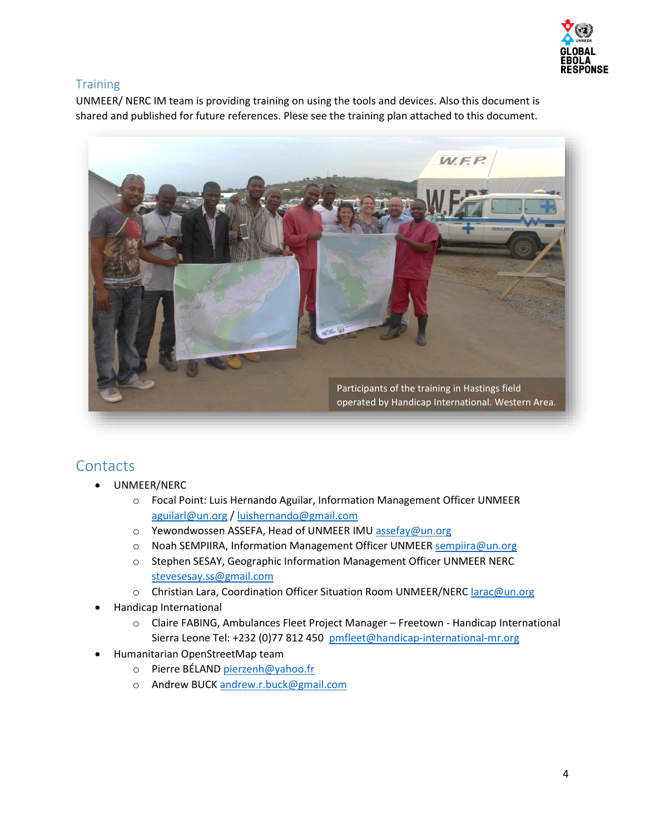

### <span id="page-3-0"></span>**Training**

UNMEER/ NERC IM team is providing training on using the tools and devices. Also this document is shared and published for future references. Plese see the training plan attached to this document.



## <span id="page-3-1"></span>**Contacts**

- UNMEER/NERC
	- o Focal Point: Luis Hernando Aguilar, Information Management Officer UNMEER [aguilarl@un.org](mailto:aguilarl@un.org) / [luishernando@gmail.com](mailto:luishernando@gmail.com)
	- o Yewondwossen ASSEFA, Head of UNMEER IM[U assefay@un.org](mailto:assefay@un.org)
	- o Noah SEMPIIRA, Information Management Officer UNMEER [sempiira@un.org](mailto:sempiira@un.org)
	- o Stephen SESAY, Geographic Information Management Officer UNMEER NERC [stevesesay.ss@gmail.com](mailto:stevesesay.ss@gmail.com)
	- o Christian Lara, Coordination Officer Situation Room UNMEER/NERC [larac@un.org](mailto:larac@un.org)
- Handicap International
	- o Claire FABING, Ambulances Fleet Project Manager Freetown Handicap International Sierra Leone Tel: +232 (0)77 812 450 [pmfleet@handicap-international-mr.org](mailto:pmfleet@handicap-international-mr.org)
- Humanitarian OpenStreetMap team
	- o Pierre BÉLAND [pierzenh@yahoo.fr](mailto:pierzenh@yahoo.fr)
	- o Andrew BUCK [andrew.r.buck@gmail.com](mailto:andrew.r.buck@gmail.com)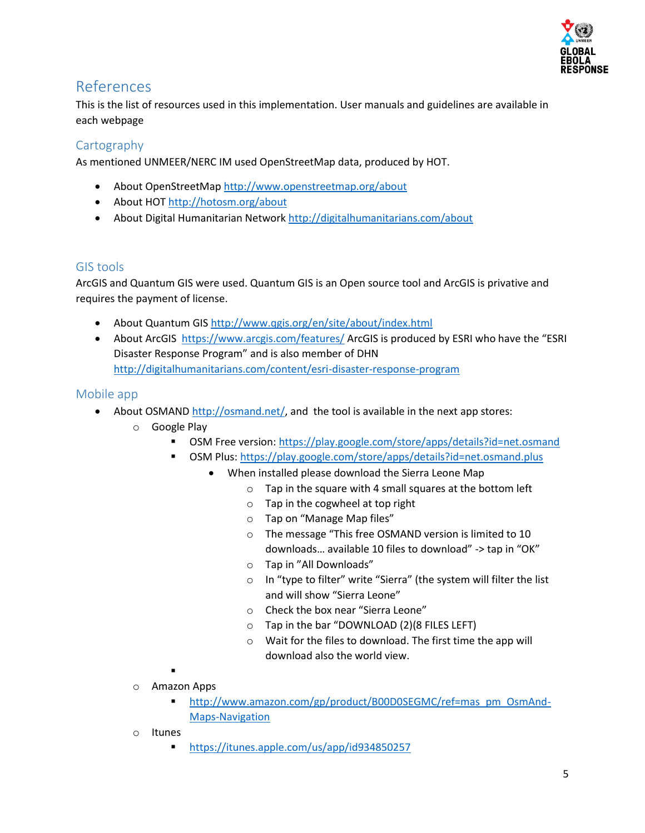

## <span id="page-4-0"></span>References

This is the list of resources used in this implementation. User manuals and guidelines are available in each webpage

## <span id="page-4-1"></span>**Cartography**

As mentioned UNMEER/NERC IM used OpenStreetMap data, produced by HOT.

- About OpenStreetMa[p http://www.openstreetmap.org/about](http://www.openstreetmap.org/about)
- About HOT<http://hotosm.org/about>
- About Digital Humanitarian Network<http://digitalhumanitarians.com/about>

## <span id="page-4-2"></span>GIS tools

ArcGIS and Quantum GIS were used. Quantum GIS is an Open source tool and ArcGIS is privative and requires the payment of license.

- About Quantum GIS <http://www.qgis.org/en/site/about/index.html>
- About ArcGIS <https://www.arcgis.com/features/> ArcGIS is produced by ESRI who have the "ESRI Disaster Response Program" and is also member of DHN <http://digitalhumanitarians.com/content/esri-disaster-response-program>

## <span id="page-4-3"></span>Mobile app

- About OSMAND [http://osmand.net/,](http://osmand.net/) and the tool is available in the next app stores:
	- o Google Play
		- OSM Free version[: https://play.google.com/store/apps/details?id=net.osmand](https://play.google.com/store/apps/details?id=net.osmand)
		- OSM Plus:<https://play.google.com/store/apps/details?id=net.osmand.plus>
			- When installed please download the Sierra Leone Map
				- o Tap in the square with 4 small squares at the bottom left
				- o Tap in the cogwheel at top right
				- o Tap on "Manage Map files"
				- o The message "This free OSMAND version is limited to 10 downloads… available 10 files to download" -> tap in "OK"
				- o Tap in "All Downloads"
				- o In "type to filter" write "Sierra" (the system will filter the list and will show "Sierra Leone"
				- o Check the box near "Sierra Leone"
				- o Tap in the bar "DOWNLOAD (2)(8 FILES LEFT)
				- o Wait for the files to download. The first time the app will download also the world view.

.

- o Amazon Apps
	- [http://www.amazon.com/gp/product/B00D0SEGMC/ref=mas\\_pm\\_OsmAnd-](http://www.amazon.com/gp/product/B00D0SEGMC/ref=mas_pm_OsmAnd-Maps-Navigation)[Maps-Navigation](http://www.amazon.com/gp/product/B00D0SEGMC/ref=mas_pm_OsmAnd-Maps-Navigation)
- o Itunes
	- <https://itunes.apple.com/us/app/id934850257>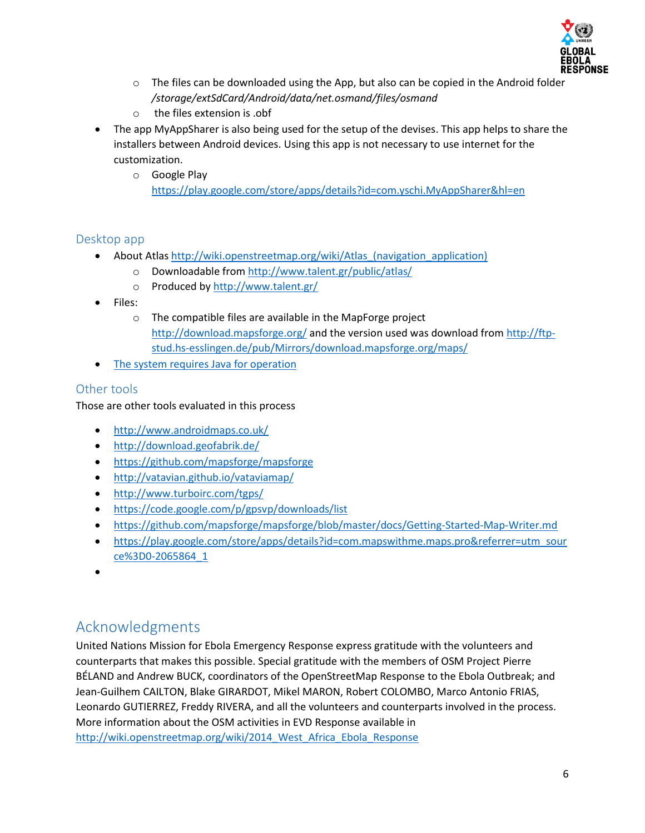

- $\circ$  The files can be downloaded using the App, but also can be copied in the Android folder */storage/extSdCard/Android/data/net.osmand/files/osmand*
- o the files extension is .obf
- The app MyAppSharer is also being used for the setup of the devises. This app helps to share the installers between Android devices. Using this app is not necessary to use internet for the customization.
	- o Google Play <https://play.google.com/store/apps/details?id=com.yschi.MyAppSharer&hl=en>

#### <span id="page-5-0"></span>Desktop app

- About Atlas http://wiki.openstreetmap.org/wiki/Atlas (navigation application)
	- o Downloadable from<http://www.talent.gr/public/atlas/>
	- o Produced b[y http://www.talent.gr/](http://www.talent.gr/)
- Files:
	- o The compatible files are available in the MapForge project <http://download.mapsforge.org/> and the version used was download from [http://ftp](http://ftp-stud.hs-esslingen.de/pub/Mirrors/download.mapsforge.org/maps/)[stud.hs-esslingen.de/pub/Mirrors/download.mapsforge.org/maps/](http://ftp-stud.hs-esslingen.de/pub/Mirrors/download.mapsforge.org/maps/)
- The system requires Java for operation

## <span id="page-5-1"></span>Other tools

Those are other tools evaluated in this process

- <http://www.androidmaps.co.uk/>
- <http://download.geofabrik.de/>
- <https://github.com/mapsforge/mapsforge>
- <http://vatavian.github.io/vataviamap/>
- <http://www.turboirc.com/tgps/>
- <https://code.google.com/p/gpsvp/downloads/list>
- <https://github.com/mapsforge/mapsforge/blob/master/docs/Getting-Started-Map-Writer.md>
- [https://play.google.com/store/apps/details?id=com.mapswithme.maps.pro&referrer=utm\\_sour](https://play.google.com/store/apps/details?id=com.mapswithme.maps.pro&referrer=utm_source%3D0-2065864_1) [ce%3D0-2065864\\_1](https://play.google.com/store/apps/details?id=com.mapswithme.maps.pro&referrer=utm_source%3D0-2065864_1)
- $\bullet$

## <span id="page-5-2"></span>Acknowledgments

United Nations Mission for Ebola Emergency Response express gratitude with the volunteers and counterparts that makes this possible. Special gratitude with the members of OSM Project Pierre BÉLAND and Andrew BUCK, coordinators of the OpenStreetMap Response to the Ebola Outbreak; and Jean-Guilhem CAILTON, Blake GIRARDOT, Mikel MARON, Robert COLOMBO, Marco Antonio FRIAS, Leonardo GUTIERREZ, Freddy RIVERA, and all the volunteers and counterparts involved in the process. More information about the OSM activities in EVD Response available in [http://wiki.openstreetmap.org/wiki/2014\\_West\\_Africa\\_Ebola\\_Response](http://wiki.openstreetmap.org/wiki/2014_West_Africa_Ebola_Response)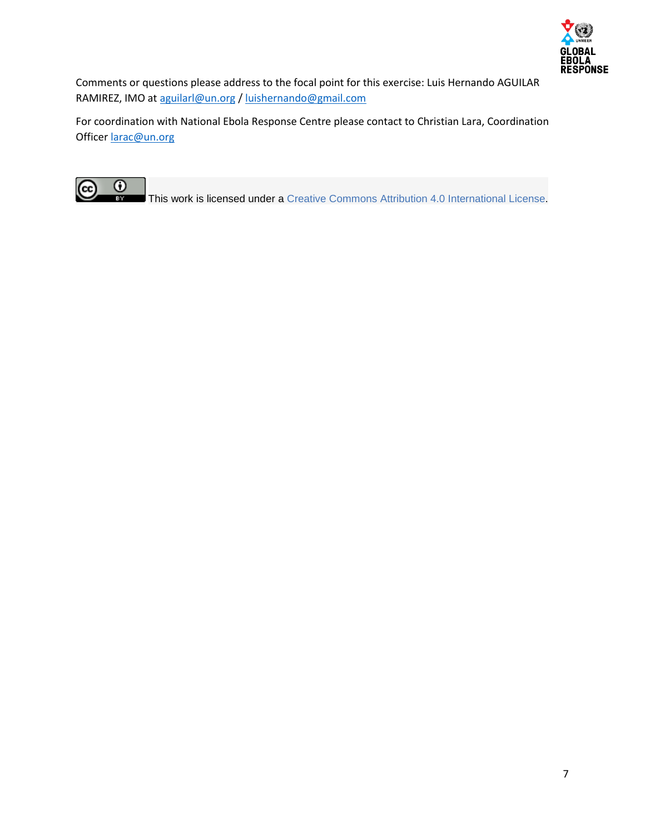

Comments or questions please address to the focal point for this exercise: Luis Hernando AGUILAR RAMIREZ, IMO at [aguilarl@un.org](mailto:aguilarl@un.org) [/ luishernando@gmail.com](mailto:luishernando@gmail.com)

For coordination with National Ebola Response Centre please contact to Christian Lara, Coordination Officer [larac@un.org](mailto:larac@un.org)



This work is licensed under a Creative Commons Attribution 4.0 [International](http://creativecommons.org/licenses/by/4.0/) License.